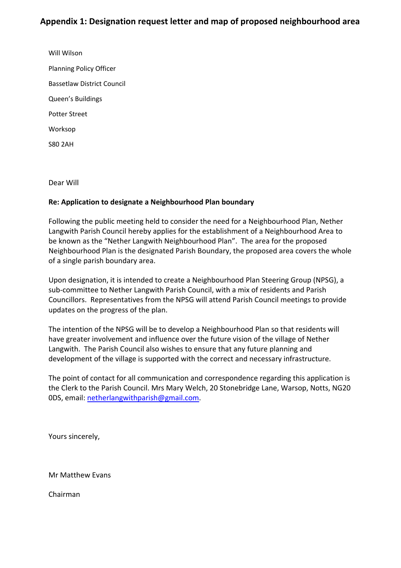Will Wilson Planning Policy Officer Bassetlaw District Council Queen's Buildings Potter Street Worksop S80 2AH

Dear Will

## **Re: Application to designate a Neighbourhood Plan boundary**

Following the public meeting held to consider the need for a Neighbourhood Plan, Nether Langwith Parish Council hereby applies for the establishment of a Neighbourhood Area to be known as the "Nether Langwith Neighbourhood Plan". The area for the proposed Neighbourhood Plan is the designated Parish Boundary, the proposed area covers the whole of a single parish boundary area.

Upon designation, it is intended to create a Neighbourhood Plan Steering Group (NPSG), a sub-committee to Nether Langwith Parish Council, with a mix of residents and Parish Councillors. Representatives from the NPSG will attend Parish Council meetings to provide updates on the progress of the plan.

The intention of the NPSG will be to develop a Neighbourhood Plan so that residents will have greater involvement and influence over the future vision of the village of Nether Langwith. The Parish Council also wishes to ensure that any future planning and development of the village is supported with the correct and necessary infrastructure.

The point of contact for all communication and correspondence regarding this application is the Clerk to the Parish Council. Mrs Mary Welch, 20 Stonebridge Lane, Warsop, Notts, NG20 0DS, email: [netherlangwithparish@gmail.com.](mailto:netherlangwithparish@gmail.com)

Yours sincerely,

Mr Matthew Evans

Chairman